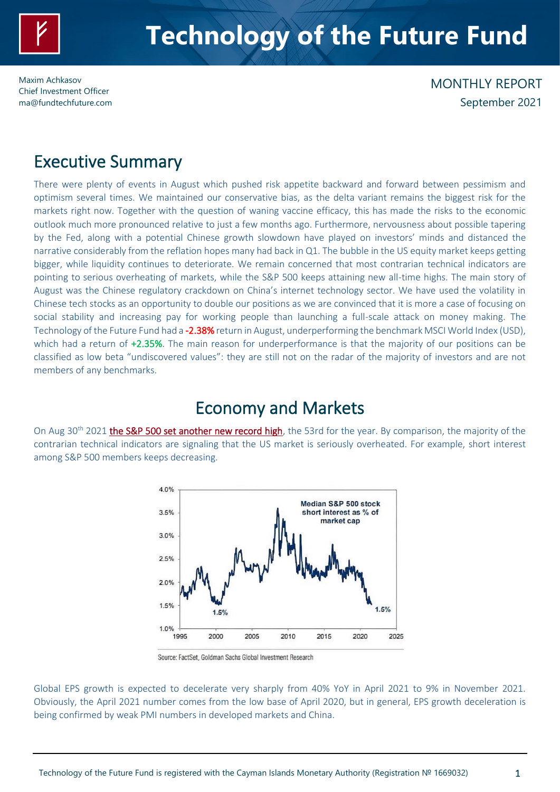

Maxim Achkasov Chief Investment Officer [ma@fundtechfuture.com](mailto:ma@achkasov.com)

## MONTHLY REPORT September 2021

## Executive Summary

There were plenty of events in August which pushed risk appetite backward and forward between pessimism and optimism several times. We maintained our conservative bias, as the delta variant remains the biggest risk for the markets right now. Together with the question of waning vaccine efficacy, this has made the risks to the economic outlook much more pronounced relative to just a few months ago. Furthermore, nervousness about possible tapering by the Fed, along with a potential Chinese growth slowdown have played on investors' minds and distanced the narrative considerably from the reflation hopes many had back in Q1. The bubble in the US equity market keeps getting bigger, while liquidity continues to deteriorate. We remain concerned that most contrarian technical indicators are pointing to serious overheating of markets, while the S&P 500 keeps attaining new all-time highs. The main story of August was the Chinese regulatory crackdown on China's internet technology sector. We have used the volatility in Chinese tech stocks as an opportunity to double our positions as we are convinced that it is more a case of focusing on social stability and increasing pay for working people than launching a full-scale attack on money making. The Technology of the Future Fund had a -2.38% return in August, underperforming the benchmark MSCI World Index (USD), which had a return of +2.35%. The main reason for underperformance is that the majority of our positions can be classified as low beta "undiscovered values": they are still not on the radar of the majority of investors and are not members of any benchmarks.

## Economy and Markets

On Aug 30<sup>th</sup> 2021 **the S&P 500 set another new record high**, the 53rd for the year. By comparison, the majority of the contrarian technical indicators are signaling that the US market is seriously overheated. For example, short interest among S&P 500 members keeps decreasing.



Source: FactSet, Goldman Sachs Global Investment Research

Global EPS growth is expected to decelerate very sharply from 40% YoY in April 2021 to 9% in November 2021. Obviously, the April 2021 number comes from the low base of April 2020, but in general, EPS growth deceleration is being confirmed by weak PMI numbers in developed markets and China.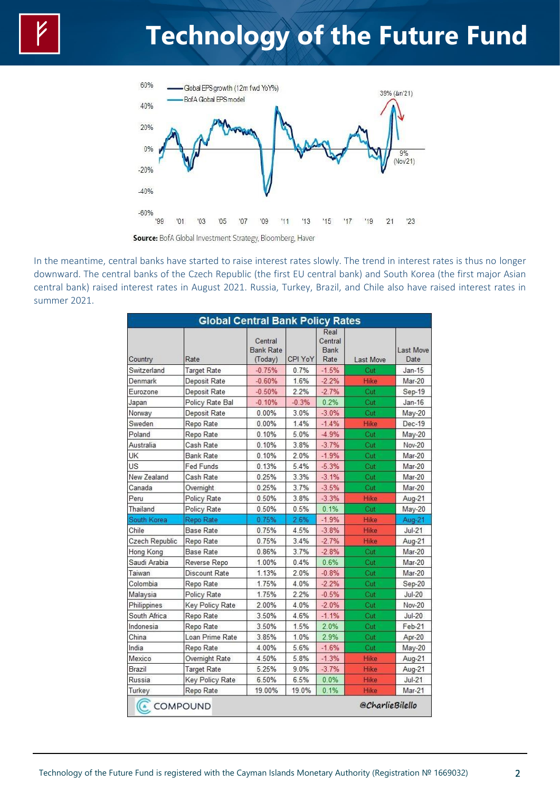

In the meantime, central banks have started to raise interest rates slowly. The trend in interest rates is thus no longer downward. The central banks of the Czech Republic (the first EU central bank) and South Korea (the first major Asian central bank) raised interest rates in August 2021. Russia, Turkey, Brazil, and Chile also have raised interest rates in summer 2021.

| <b>Global Central Bank Policy Rates</b> |                    |                                        |         |                                        |                  |                   |  |  |  |  |
|-----------------------------------------|--------------------|----------------------------------------|---------|----------------------------------------|------------------|-------------------|--|--|--|--|
| Country                                 | Rate               | Central<br><b>Bank Rate</b><br>(Today) | CPI YoY | Real<br>Central<br><b>Bank</b><br>Rate | <b>Last Move</b> | Last Move<br>Date |  |  |  |  |
| Switzerland                             | <b>Target Rate</b> | $-0.75%$                               | 0.7%    | $-1.5%$                                | Cut              | $Jan-15$          |  |  |  |  |
| Denmark                                 | Deposit Rate       | $-0.60%$                               | 1.6%    | $-2.2%$                                | Hike             | Mar-20            |  |  |  |  |
| Eurozone                                | Deposit Rate       | $-0.50%$                               | 2.2%    | $-2.7%$                                | Cut              | Sep-19            |  |  |  |  |
| Japan                                   | Policy Rate Bal    | $-0.10%$                               | $-0.3%$ | 0.2%                                   | Čut              | $Jan-16$          |  |  |  |  |
| Norway                                  | Deposit Rate       | 0.00%                                  | 3.0%    | $-3.0%$                                | Cut              | $May-20$          |  |  |  |  |
| Sweden                                  | Repo Rate          | $0.00\%$                               | 1.4%    | $-1.4%$                                | <b>Hike</b>      | Dec-19            |  |  |  |  |
| Poland                                  | Repo Rate          | 0.10%                                  | 5.0%    | $-4.9%$                                | Cut              | $May-20$          |  |  |  |  |
| Australia                               | Cash Rate          | 0.10%                                  | 3.8%    | $-3.7%$                                | Čut              | <b>Nov-20</b>     |  |  |  |  |
| <b>UK</b>                               | <b>Bank Rate</b>   | 0.10%                                  | 2.0%    | $-1.9%$                                | Cut              | Mar-20            |  |  |  |  |
| US                                      | Fed Funds          | 0.13%                                  | 5.4%    | $-5.3%$                                | Cut              | Mar-20            |  |  |  |  |
| New Zealand                             | Cash Rate          | 0.25%                                  | 3.3%    | $-3.1%$                                | Cut              | Mar-20            |  |  |  |  |
| Canada                                  | Overnight          | 0.25%                                  | 3.7%    | $-3.5%$                                | Cut              | Mar-20            |  |  |  |  |
| Peru                                    | Policy Rate        | 0.50%                                  | 3.8%    | $-3.3%$                                | Hike             | Aug-21            |  |  |  |  |
| Thailand                                | Policy Rate        | 0.50%                                  | 0.5%    | 0.1%                                   | Cut              | $May-20$          |  |  |  |  |
| South Korea                             | Repo Rate          | 0.75%                                  | 2.6%    | $-1.9%$                                | Hike             | Aug-21            |  |  |  |  |
| Chile                                   | <b>Base Rate</b>   | 0.75%                                  | 4.5%    | $-3.8%$                                | <b>Hike</b>      | $Jul-21$          |  |  |  |  |
| Czech Republic                          | Repo Rate          | 0.75%                                  | 3.4%    | $-2.7%$                                | Hike             | Aug-21            |  |  |  |  |
| Hong Kong                               | <b>Base Rate</b>   | 0.86%                                  | 3.7%    | $-2.8%$                                | Cut              | Mar-20            |  |  |  |  |
| Saudi Arabia                            | Reverse Repo       | 1.00%                                  | 0.4%    | 0.6%                                   | Cut              | Mar-20            |  |  |  |  |
| Taiwan                                  | Discount Rate      | 1.13%                                  | 2.0%    | $-0.8%$                                | Cut              | Mar-20            |  |  |  |  |
| Colombia                                | Repo Rate          | 1.75%                                  | 4.0%    | $-2.2%$                                | Cut              | Sep-20            |  |  |  |  |
| Malaysia                                | Policy Rate        | 1.75%                                  | 2.2%    | $-0.5%$                                | Cut              | <b>Jul-20</b>     |  |  |  |  |
| Philippines                             | Key Policy Rate    | 2.00%                                  | 4.0%    | $-2.0%$                                | Cut              | Nov-20            |  |  |  |  |
| South Africa                            | Repo Rate          | 3.50%                                  | 4.6%    | $-1.1%$                                | Čut              | $Jul-20$          |  |  |  |  |
| Indonesia                               | Repo Rate          | 3.50%                                  | 1.5%    | 2.0%                                   | Cut              | $Feb-21$          |  |  |  |  |
| China                                   | Loan Prime Rate    | 3.85%                                  | 1.0%    | 2.9%                                   | Cut              | Apr-20            |  |  |  |  |
| India                                   | Repo Rate          | 4.00%                                  | 5.6%    | $-1.6%$                                | Cut              | May-20            |  |  |  |  |
| Mexico                                  | Overnight Rate     | 4.50%                                  | 5.8%    | $-1.3%$                                | Hike             | Aug-21            |  |  |  |  |
| Brazil                                  | <b>Target Rate</b> | 5.25%                                  | 9.0%    | $-3.7%$                                | Hike             | Aug-21            |  |  |  |  |
| Russia                                  | Key Policy Rate    | 6.50%                                  | 6.5%    | 0.0%                                   | <b>Hike</b>      | $Jul-21$          |  |  |  |  |
| Turkey                                  | Repo Rate          | 19.00%                                 | 19.0%   | 0.1%                                   | Hike             | Mar-21            |  |  |  |  |
| $\left($                                |                    |                                        |         | @CharlieBilello<br>COMPOUND            |                  |                   |  |  |  |  |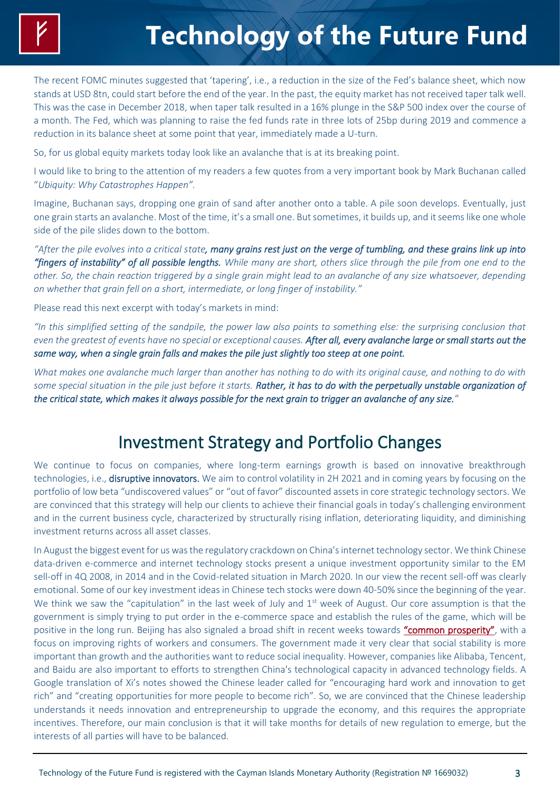The recent FOMC minutes suggested that 'tapering', i.e., a reduction in the size of the Fed's balance sheet, which now stands at USD 8tn, could start before the end of the year. In the past, the equity market has not received taper talk well. This was the case in December 2018, when taper talk resulted in a 16% plunge in the S&P 500 index over the course of a month. The Fed, which was planning to raise the fed funds rate in three lots of 25bp during 2019 and commence a reduction in its balance sheet at some point that year, immediately made a U-turn.

So, for us global equity markets today look like an avalanche that is at its breaking point.

I would like to bring to the attention of my readers a few quotes from a very important book by Mark Buchanan called "*[Ubiquity: Why Catastrophes Happen](http://www.amazon.com/exec/obidos/ASIN/0609809989/frontlinethou-20)".*

Imagine, Buchanan says, dropping one grain of sand after another onto a table. A pile soon develops. Eventually, just one grain starts an avalanche. Most of the time, it's a small one. But sometimes, it builds up, and it seems like one whole side of the pile slides down to the bottom.

*"After the pile evolves into a critical state, many grains rest just on the verge of tumbling, and these grains link up into "fingers of instability" of all possible lengths. While many are short, others slice through the pile from one end to the other. So, the chain reaction triggered by a single grain might lead to an avalanche of any size whatsoever, depending on whether that grain fell on a short, intermediate, or long finger of instability."*

Please read this next excerpt with today's markets in mind:

*"In this simplified setting of the sandpile, the power law also points to something else: the surprising conclusion that even the greatest of events have no special or exceptional causes. After all, every avalanche large or small starts out the same way, when a single grain falls and makes the pile just slightly too steep at one point.*

*What makes one avalanche much larger than another has nothing to do with its original cause, and nothing to do with some special situation in the pile just before it starts. Rather, it has to do with the perpetually unstable organization of the critical state, which makes it always possible for the next grain to trigger an avalanche of any size.*"

## Investment Strategy and Portfolio Changes

We continue to focus on companies, where long-term earnings growth is based on innovative breakthrough technologies, i.e., disruptive innovators. We aim to control volatility in 2H 2021 and in coming years by focusing on the portfolio of low beta "undiscovered values" or "out of favor" discounted assets in core strategic technology sectors. We are convinced that this strategy will help our clients to achieve their financial goals in today's challenging environment and in the current business cycle, characterized by structurally rising inflation, deteriorating liquidity, and diminishing investment returns across all asset classes.

In August the biggest event for us was the regulatory crackdown on China's internet technology sector. We think Chinese data-driven e-commerce and internet technology stocks present a unique investment opportunity similar to the EM sell-off in 4Q 2008, in 2014 and in the Covid-related situation in March 2020. In our view the recent sell-off was clearly emotional. Some of our key investment ideas in Chinese tech stocks were down 40-50% since the beginning of the year. We think we saw the "capitulation" in the last week of July and  $1<sup>st</sup>$  week of August. Our core assumption is that the government is simply trying to put order in the e-commerce space and establish the rules of the game, which will be positive in the long run. Beijing has also signaled a broad shift in recent weeks towards ["common prosperity"](https://www.ft.com/content/4cf59a34-cd03-48a1-b5d0-0c71922ef9b3), with a focus on improving rights of workers and consumers. The government made it very clear that social stability is more important than growth and the authorities want to reduce social inequality. However, companies like Alibaba, Tencent, and Baidu are also important to efforts to strengthen China's technological capacity in advanced technology fields. A Google translation of Xi's notes showed the Chinese leader called for "encouraging hard work and innovation to get rich" and "creating opportunities for more people to become rich". So, we are convinced that the Chinese leadership understands it needs innovation and entrepreneurship to upgrade the economy, and this requires the appropriate incentives. Therefore, our main conclusion is that it will take months for details of new regulation to emerge, but the interests of all parties will have to be balanced.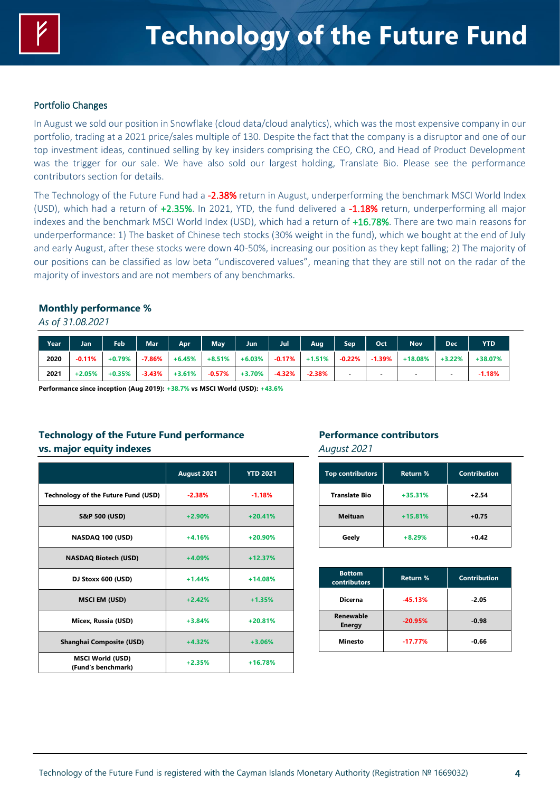

### Portfolio Changes

In August we sold our position in Snowflake (cloud data/cloud analytics), which was the most expensive company in our portfolio, trading at a 2021 price/sales multiple of 130. Despite the fact that the company is a disruptor and one of our top investment ideas, continued selling by key insiders comprising the CEO, CRO, and Head of Product Development was the trigger for our sale. We have also sold our largest holding, Translate Bio. Please see the performance contributors section for details.

The Technology of the Future Fund had a -2.38% return in August, underperforming the benchmark MSCI World Index (USD), which had a return of +2.35%. In 2021, YTD, the fund delivered a -1.18% return, underperforming all major indexes and the benchmark MSCI World Index (USD), which had a return of +16.78%. There are two main reasons for underperformance: 1) The basket of Chinese tech stocks (30% weight in the fund), which we bought at the end of July and early August, after these stocks were down 40-50%, increasing our position as they kept falling; 2) The majority of our positions can be classified as low beta "undiscovered values", meaning that they are still not on the radar of the majority of investors and are not members of any benchmarks.

#### **Monthly performance %**

#### *As of 31.08.2021*

| Year | Jan      | <b>Feb</b> | Mar <sup>1</sup> | <b>Apr.</b> | <b>May</b> | Jun       | Jul       | Aug      | <b>Sep</b> | Oct       | Nov <sup>1</sup>         | <b>Dec</b> | YTD       |
|------|----------|------------|------------------|-------------|------------|-----------|-----------|----------|------------|-----------|--------------------------|------------|-----------|
| 2020 | $-0.11%$ | +0.79%     | $-7.86\%$        | $+6.45%$    | $+8.51%$   | $+6.03%$  | $-0.17\%$ | $+1.51%$ | $-0.22%$   | $-1.39\%$ | $+18.08\%$               | $+3.22%$   | $+38.07%$ |
| 2021 | $+2.05%$ | $+0.35%$   | -3.43%           | $+3.61%$    | $-0.57\%$  | $+3.70\%$ | -4.32%    | $-2.38%$ |            | -         | $\overline{\phantom{a}}$ | -          | $-1.18%$  |

**Performance since inception (Aug 2019): +38.7% vs MSCI World (USD): +43.6%**

### **Technology of the Future Fund performance vs. major equity indexes**

|                                               | August 2021 | <b>YTD 2021</b> |
|-----------------------------------------------|-------------|-----------------|
| Technology of the Future Fund (USD)           | $-2.38%$    | $-1.18%$        |
| <b>S&amp;P 500 (USD)</b>                      | $+2.90%$    | $+20.41%$       |
| NASDAQ 100 (USD)                              | $+4.16%$    | $+20.90%$       |
| <b>NASDAQ Biotech (USD)</b>                   | $+4.09%$    | $+12.37%$       |
| DJ Stoxx 600 (USD)                            | $+1.44%$    | $+14.08%$       |
| <b>MSCI EM (USD)</b>                          | $+2.42%$    | $+1.35%$        |
| Micex, Russia (USD)                           | $+3.84%$    | $+20.81%$       |
| <b>Shanghai Composite (USD)</b>               | $+4.32%$    | $+3.06%$        |
| <b>MSCI World (USD)</b><br>(Fund's benchmark) | $+2.35%$    | $+16.78%$       |

#### **Performance contributors** *August 2021*

| <b>Top contributors</b> | <b>Return %</b> | <b>Contribution</b> |  |  |
|-------------------------|-----------------|---------------------|--|--|
| <b>Translate Bio</b>    | $+35.31%$       | $+2.54$             |  |  |
| <b>Meituan</b>          | $+15.81%$       | $+0.75$             |  |  |
| Geely                   | $+8.29%$        | $+0.42$             |  |  |

| <b>Bottom</b><br>contributors | Return %  | <b>Contribution</b> |  |  |
|-------------------------------|-----------|---------------------|--|--|
| <b>Dicerna</b>                | $-45.13%$ | $-2.05$             |  |  |
| Renewable<br><b>Energy</b>    | $-20.95%$ | $-0.98$             |  |  |
| <b>Minesto</b>                | $-17.77%$ | $-0.66$             |  |  |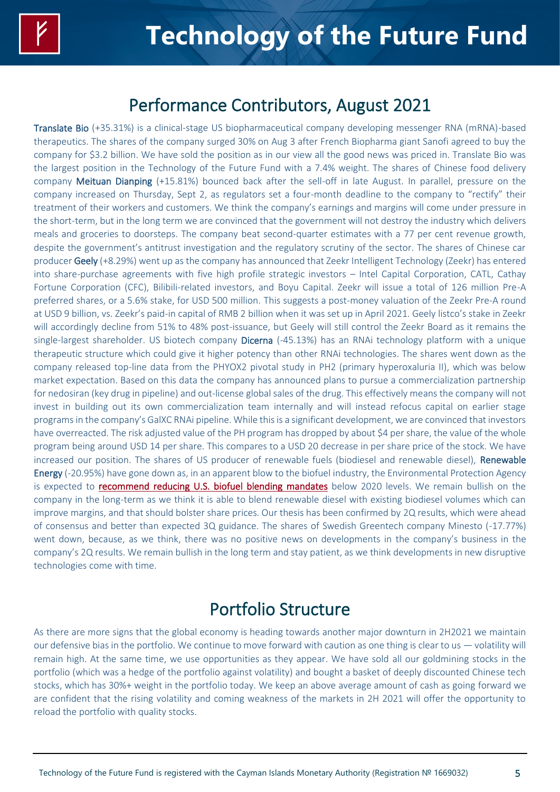## Performance Contributors, August 2021

Translate Bio (+35.31%) is a clinical-stage US biopharmaceutical company developing messenger RNA (mRNA)-based therapeutics. The shares of the company surged 30% on Aug 3 after French Biopharma giant Sanofi agreed to buy the company for \$3.2 billion. We have sold the position as in our view all the good news was priced in. Translate Bio was the largest position in the Technology of the Future Fund with a 7.4% weight. The shares of Chinese food delivery company Meituan Dianping (+15.81%) bounced back after the sell-off in late August. In parallel, pressure on the company increased on Thursday, Sept 2, as regulators set a four-month deadline to the company to "rectify" their treatment of their workers and customers. We think the company's earnings and margins will come under pressure in the short-term, but in the long term we are convinced that the government will not destroy the industry which delivers meals and groceries to doorsteps. The company beat second-quarter estimates with a 77 per cent revenue growth, despite the government's antitrust investigation and the regulatory scrutiny of the sector. The shares of Chinese car producer Geely (+8.29%) went up as the company has announced that Zeekr Intelligent Technology (Zeekr) has entered into share-purchase agreements with five high profile strategic investors – Intel Capital Corporation, CATL, Cathay Fortune Corporation (CFC), Bilibili-related investors, and Boyu Capital. Zeekr will issue a total of 126 million Pre-A preferred shares, or a 5.6% stake, for USD 500 million. This suggests a post-money valuation of the Zeekr Pre-A round at USD 9 billion, vs. Zeekr's paid-in capital of RMB 2 billion when it was set up in April 2021. Geely listco's stake in Zeekr will accordingly decline from 51% to 48% post-issuance, but Geely will still control the Zeekr Board as it remains the single-largest shareholder. US biotech company Dicerna (-45.13%) has an RNAi technology platform with a unique therapeutic structure which could give it higher potency than other RNAi technologies. The shares went down as the company released top-line data from the PHYOX2 pivotal study in PH2 (primary hyperoxaluria II), which was below market expectation. Based on this data the company has announced plans to pursue a commercialization partnership for nedosiran (key drug in pipeline) and out-license global sales of the drug. This effectively means the company will not invest in building out its own commercialization team internally and will instead refocus capital on earlier stage programs in the company's GalXC RNAi pipeline. While this is a significant development, we are convinced that investors have overreacted. The risk adjusted value of the PH program has dropped by about \$4 per share, the value of the whole program being around USD 14 per share. This compares to a USD 20 decrease in per share price of the stock. We have increased our position. The shares of US producer of renewable fuels (biodiesel and renewable diesel), Renewable Energy (-20.95%) have gone down as, in an apparent blow to the biofuel industry, the Environmental Protection Agency is expected to [recommend reducing U.S. biofuel blending mandates](https://www.reuters.com/business/energy/us-epa-recommend-lower-biofuel-blending-mandates-below-2020-levels-sources-2021-08-20/) below 2020 levels. We remain bullish on the company in the long-term as we think it is able to blend renewable diesel with existing biodiesel volumes which can improve margins, and that should bolster share prices. Our thesis has been confirmed by 2Q results, which were ahead of consensus and better than expected 3Q guidance. The shares of Swedish Greentech company Minesto (-17.77%) went down, because, as we think, there was no positive news on developments in the company's business in the company's 2Q results. We remain bullish in the long term and stay patient, as we think developments in new disruptive technologies come with time.

## Portfolio Structure

As there are more signs that the global economy is heading towards another major downturn in 2H2021 we maintain our defensive bias in the portfolio. We continue to move forward with caution as one thing is clear to us  $-$  volatility will remain high. At the same time, we use opportunities as they appear. We have sold all our goldmining stocks in the portfolio (which was a hedge of the portfolio against volatility) and bought a basket of deeply discounted Chinese tech stocks, which has 30%+ weight in the portfolio today. We keep an above average amount of cash as going forward we are confident that the rising volatility and coming weakness of the markets in 2H 2021 will offer the opportunity to reload the portfolio with quality stocks.